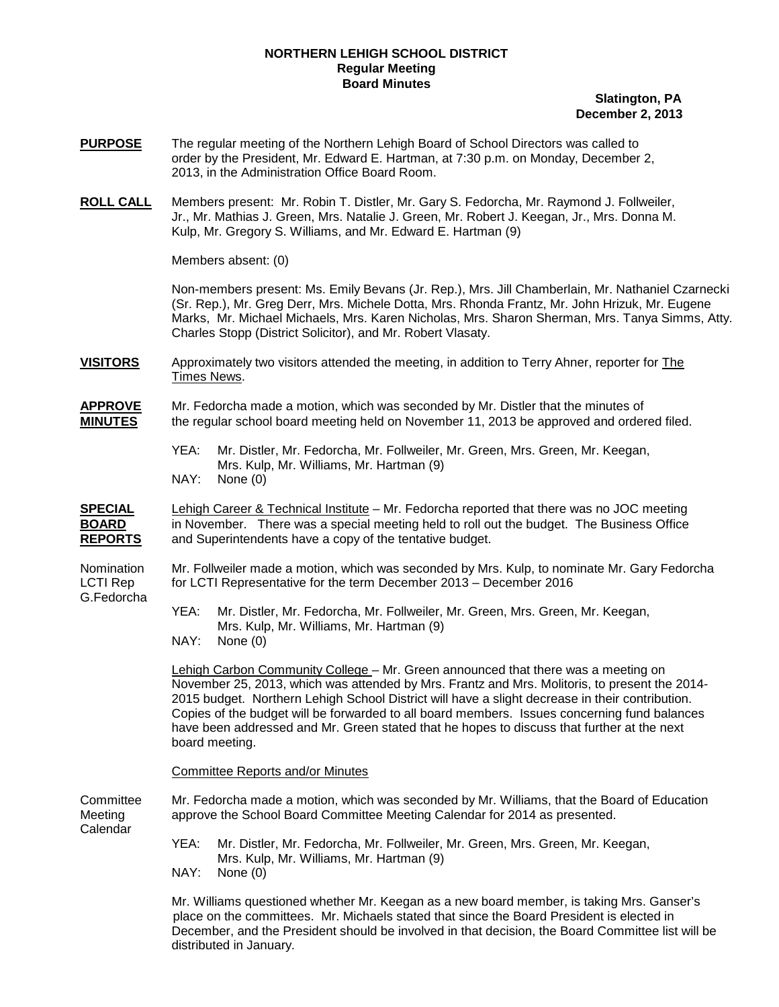## **NORTHERN LEHIGH SCHOOL DISTRICT Regular Meeting Board Minutes**

## **Slatington, PA December 2, 2013**

- **PURPOSE** The regular meeting of the Northern Lehigh Board of School Directors was called to order by the President, Mr. Edward E. Hartman, at 7:30 p.m. on Monday, December 2, 2013, in the Administration Office Board Room.
- **ROLL CALL** Members present: Mr. Robin T. Distler, Mr. Gary S. Fedorcha, Mr. Raymond J. Follweiler, Jr., Mr. Mathias J. Green, Mrs. Natalie J. Green, Mr. Robert J. Keegan, Jr., Mrs. Donna M. Kulp, Mr. Gregory S. Williams, and Mr. Edward E. Hartman (9)

Members absent: (0)

Non-members present: Ms. Emily Bevans (Jr. Rep.), Mrs. Jill Chamberlain, Mr. Nathaniel Czarnecki (Sr. Rep.), Mr. Greg Derr, Mrs. Michele Dotta, Mrs. Rhonda Frantz, Mr. John Hrizuk, Mr. Eugene Marks, Mr. Michael Michaels, Mrs. Karen Nicholas, Mrs. Sharon Sherman, Mrs. Tanya Simms, Atty. Charles Stopp (District Solicitor), and Mr. Robert Vlasaty.

**VISITORS** Approximately two visitors attended the meeting, in addition to Terry Ahner, reporter for The Times News.

**APPROVE** Mr. Fedorcha made a motion, which was seconded by Mr. Distler that the minutes of **MINUTES** the regular school board meeting held on November 11, 2013 be approved and ordered filed.

- YEA: Mr. Distler, Mr. Fedorcha, Mr. Follweiler, Mr. Green, Mrs. Green, Mr. Keegan, Mrs. Kulp, Mr. Williams, Mr. Hartman (9)
- NAY: None (0)

**SPECIAL** Lehigh Career & Technical Institute – Mr. Fedorcha reported that there was no JOC meeting **BOARD** in November. There was a special meeting held to roll out the budget. The Business Office **REPORTS** and Superintendents have a copy of the tentative budget.

G.Fedorcha

Nomination Mr. Follweiler made a motion, which was seconded by Mrs. Kulp, to nominate Mr. Gary Fedorcha LCTI Rep for LCTI Representative for the term December 2013 – December 2016

> YEA: Mr. Distler, Mr. Fedorcha, Mr. Follweiler, Mr. Green, Mrs. Green, Mr. Keegan, Mrs. Kulp, Mr. Williams, Mr. Hartman (9)

NAY: None (0)

Lehigh Carbon Community College – Mr. Green announced that there was a meeting on November 25, 2013, which was attended by Mrs. Frantz and Mrs. Molitoris, to present the 2014- 2015 budget. Northern Lehigh School District will have a slight decrease in their contribution. Copies of the budget will be forwarded to all board members. Issues concerning fund balances have been addressed and Mr. Green stated that he hopes to discuss that further at the next board meeting.

Committee Reports and/or Minutes

Committee Mr. Fedorcha made a motion, which was seconded by Mr. Williams, that the Board of Education Meeting approve the School Board Committee Meeting Calendar for 2014 as presented. Calendar

- YEA: Mr. Distler, Mr. Fedorcha, Mr. Follweiler, Mr. Green, Mrs. Green, Mr. Keegan, Mrs. Kulp, Mr. Williams, Mr. Hartman (9)
- NAY: None (0)

Mr. Williams questioned whether Mr. Keegan as a new board member, is taking Mrs. Ganser's place on the committees. Mr. Michaels stated that since the Board President is elected in December, and the President should be involved in that decision, the Board Committee list will be distributed in January.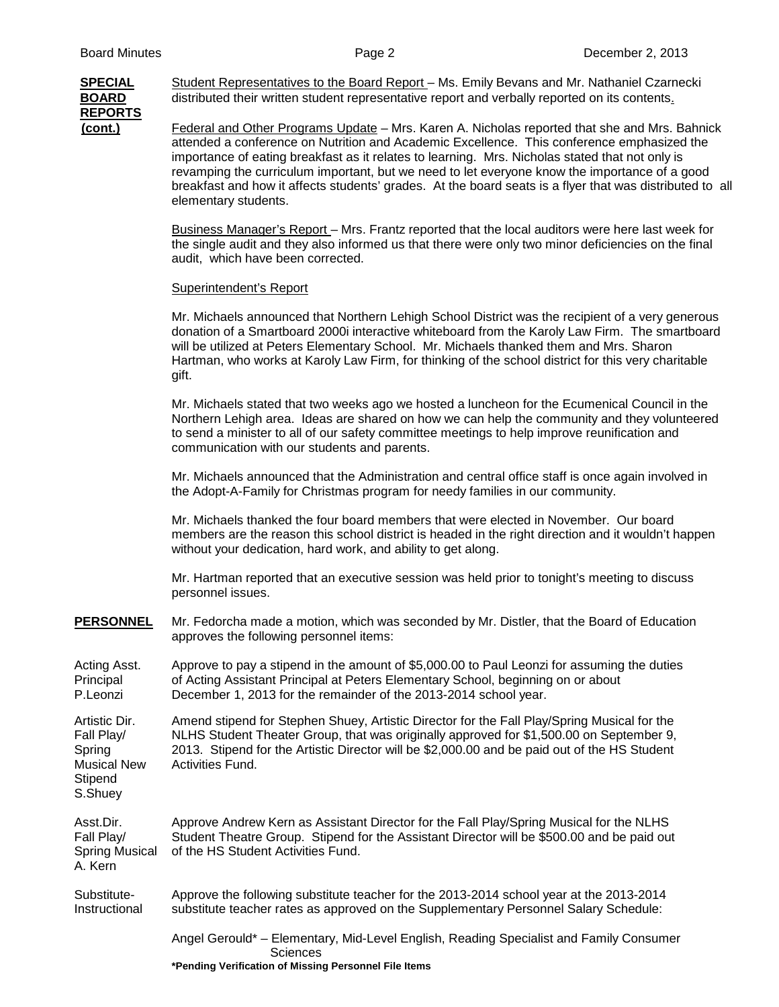## **REPORTS**

**SPECIAL** Student Representatives to the Board Report – Ms. Emily Bevans and Mr. Nathaniel Czarnecki **BOARD** distributed their written student representative report and verbally reported on its contents.

**(cont.)** Federal and Other Programs Update – Mrs. Karen A. Nicholas reported that she and Mrs. Bahnick attended a conference on Nutrition and Academic Excellence. This conference emphasized the importance of eating breakfast as it relates to learning. Mrs. Nicholas stated that not only is revamping the curriculum important, but we need to let everyone know the importance of a good breakfast and how it affects students' grades. At the board seats is a flyer that was distributed to all elementary students.

> Business Manager's Report – Mrs. Frantz reported that the local auditors were here last week for the single audit and they also informed us that there were only two minor deficiencies on the final audit, which have been corrected.

## Superintendent's Report

Mr. Michaels announced that Northern Lehigh School District was the recipient of a very generous donation of a Smartboard 2000i interactive whiteboard from the Karoly Law Firm. The smartboard will be utilized at Peters Elementary School. Mr. Michaels thanked them and Mrs. Sharon Hartman, who works at Karoly Law Firm, for thinking of the school district for this very charitable gift.

Mr. Michaels stated that two weeks ago we hosted a luncheon for the Ecumenical Council in the Northern Lehigh area. Ideas are shared on how we can help the community and they volunteered to send a minister to all of our safety committee meetings to help improve reunification and communication with our students and parents.

Mr. Michaels announced that the Administration and central office staff is once again involved in the Adopt-A-Family for Christmas program for needy families in our community.

Mr. Michaels thanked the four board members that were elected in November. Our board members are the reason this school district is headed in the right direction and it wouldn't happen without your dedication, hard work, and ability to get along.

Mr. Hartman reported that an executive session was held prior to tonight's meeting to discuss personnel issues.

**PERSONNEL** Mr. Fedorcha made a motion, which was seconded by Mr. Distler, that the Board of Education approves the following personnel items:

Acting Asst. Approve to pay a stipend in the amount of \$5,000.00 to Paul Leonzi for assuming the duties Principal of Acting Assistant Principal at Peters Elementary School, beginning on or about<br>P.Leonzi December 1, 2013 for the remainder of the 2013-2014 school vear. December 1, 2013 for the remainder of the 2013-2014 school year.

Artistic Dir. Amend stipend for Stephen Shuey, Artistic Director for the Fall Play/Spring Musical for the Fall Play/ NLHS Student Theater Group, that was originally approved for \$1,500.00 on September 9, Spring 2013. Stipend for the Artistic Director will be \$2,000.00 and be paid out of the HS Student<br>Musical New Activities Fund. Activities Fund.

Stipend S.Shuey

Asst.Dir. Approve Andrew Kern as Assistant Director for the Fall Play/Spring Musical for the NLHS Fall Play/ Student Theatre Group. Stipend for the Assistant Director will be \$500.00 and be paid out Spring Musical of the HS Student Activities Fund. A. Kern

Substitute- Approve the following substitute teacher for the 2013-2014 school year at the 2013-2014 Instructional substitute teacher rates as approved on the Supplementary Personnel Salary Schedule:

> Angel Gerould\* – Elementary, Mid-Level English, Reading Specialist and Family Consumer **Sciences \*Pending Verification of Missing Personnel File Items**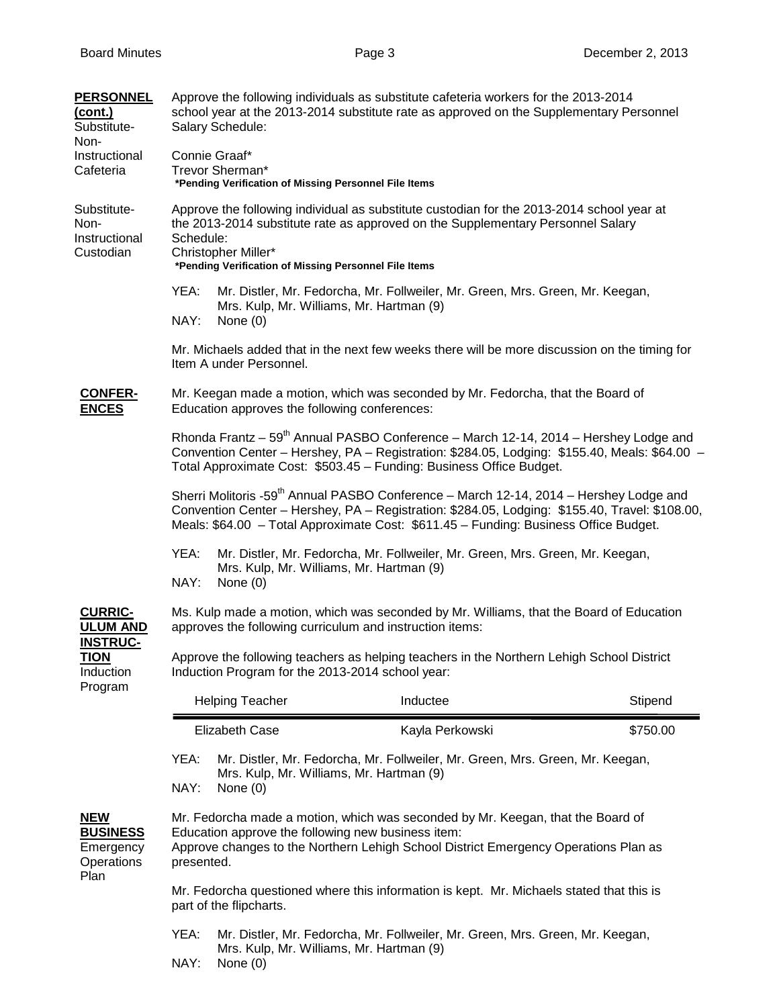| <b>PERSONNEL</b><br>(cont.)<br>Substitute-<br>Non-                                          | Approve the following individuals as substitute cafeteria workers for the 2013-2014<br>school year at the 2013-2014 substitute rate as approved on the Supplementary Personnel<br>Salary Schedule:                                                                                           |                                                        |                                                                               |          |  |  |
|---------------------------------------------------------------------------------------------|----------------------------------------------------------------------------------------------------------------------------------------------------------------------------------------------------------------------------------------------------------------------------------------------|--------------------------------------------------------|-------------------------------------------------------------------------------|----------|--|--|
| Instructional<br>Cafeteria                                                                  | Connie Graaf*<br>Trevor Sherman*<br>*Pending Verification of Missing Personnel File Items                                                                                                                                                                                                    |                                                        |                                                                               |          |  |  |
| Substitute-<br>Non-<br>Instructional<br>Custodian                                           | Approve the following individual as substitute custodian for the 2013-2014 school year at<br>the 2013-2014 substitute rate as approved on the Supplementary Personnel Salary<br>Schedule:<br>Christopher Miller*<br>*Pending Verification of Missing Personnel File Items                    |                                                        |                                                                               |          |  |  |
|                                                                                             | YEA:<br>Mr. Distler, Mr. Fedorcha, Mr. Follweiler, Mr. Green, Mrs. Green, Mr. Keegan,<br>Mrs. Kulp, Mr. Williams, Mr. Hartman (9)<br>NAY:<br>None $(0)$                                                                                                                                      |                                                        |                                                                               |          |  |  |
|                                                                                             | Mr. Michaels added that in the next few weeks there will be more discussion on the timing for<br>Item A under Personnel.                                                                                                                                                                     |                                                        |                                                                               |          |  |  |
| <b>CONFER-</b><br><b>ENCES</b>                                                              | Mr. Keegan made a motion, which was seconded by Mr. Fedorcha, that the Board of<br>Education approves the following conferences:                                                                                                                                                             |                                                        |                                                                               |          |  |  |
|                                                                                             | Rhonda Frantz – 59 <sup>th</sup> Annual PASBO Conference – March 12-14, 2014 – Hershey Lodge and<br>Convention Center - Hershey, PA - Registration: \$284.05, Lodging: \$155.40, Meals: \$64.00 -<br>Total Approximate Cost: \$503.45 - Funding: Business Office Budget.                     |                                                        |                                                                               |          |  |  |
|                                                                                             | Sherri Molitoris -59 <sup>th</sup> Annual PASBO Conference - March 12-14, 2014 - Hershey Lodge and<br>Convention Center - Hershey, PA - Registration: \$284.05, Lodging: \$155.40, Travel: \$108.00,<br>Meals: \$64.00 - Total Approximate Cost: \$611.45 - Funding: Business Office Budget. |                                                        |                                                                               |          |  |  |
|                                                                                             | YEA:<br>Mr. Distler, Mr. Fedorcha, Mr. Follweiler, Mr. Green, Mrs. Green, Mr. Keegan,<br>Mrs. Kulp, Mr. Williams, Mr. Hartman (9)<br>NAY:<br>None $(0)$                                                                                                                                      |                                                        |                                                                               |          |  |  |
| <b>CURRIC-</b><br><b>ULUM AND</b><br><b>INSTRUC-</b><br><u>TION</u><br>Induction<br>Program | Ms. Kulp made a motion, which was seconded by Mr. Williams, that the Board of Education<br>approves the following curriculum and instruction items:                                                                                                                                          |                                                        |                                                                               |          |  |  |
|                                                                                             | Approve the following teachers as helping teachers in the Northern Lehigh School District<br>Induction Program for the 2013-2014 school year:                                                                                                                                                |                                                        |                                                                               |          |  |  |
|                                                                                             |                                                                                                                                                                                                                                                                                              | <b>Helping Teacher</b>                                 | Inductee                                                                      | Stipend  |  |  |
|                                                                                             |                                                                                                                                                                                                                                                                                              | <b>Elizabeth Case</b>                                  | Kayla Perkowski                                                               | \$750.00 |  |  |
|                                                                                             | YEA:<br>Mr. Distler, Mr. Fedorcha, Mr. Follweiler, Mr. Green, Mrs. Green, Mr. Keegan,<br>Mrs. Kulp, Mr. Williams, Mr. Hartman (9)<br>NAY:<br>None $(0)$                                                                                                                                      |                                                        |                                                                               |          |  |  |
| <b>NEW</b><br><b>BUSINESS</b><br>Emergency<br>Operations<br>Plan                            | Mr. Fedorcha made a motion, which was seconded by Mr. Keegan, that the Board of<br>Education approve the following new business item:<br>Approve changes to the Northern Lehigh School District Emergency Operations Plan as<br>presented.                                                   |                                                        |                                                                               |          |  |  |
|                                                                                             | Mr. Fedorcha questioned where this information is kept. Mr. Michaels stated that this is<br>part of the flipcharts.                                                                                                                                                                          |                                                        |                                                                               |          |  |  |
|                                                                                             | YEA:<br>NAY:                                                                                                                                                                                                                                                                                 | Mrs. Kulp, Mr. Williams, Mr. Hartman (9)<br>None $(0)$ | Mr. Distler, Mr. Fedorcha, Mr. Follweiler, Mr. Green, Mrs. Green, Mr. Keegan, |          |  |  |